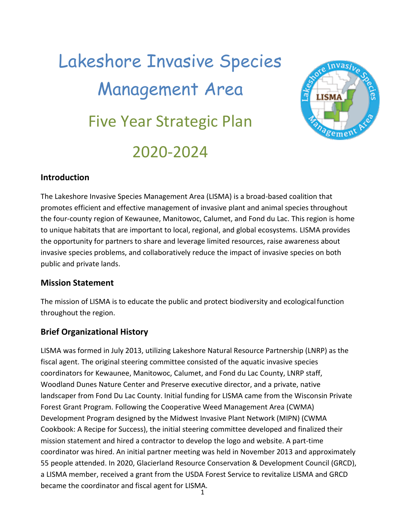# Lakeshore Invasive Species Management Area Five Year Strategic Plan 2020-2024



## **Introduction**

The Lakeshore Invasive Species Management Area (LISMA) is a broad-based coalition that promotes efficient and effective management of invasive plant and animal species throughout the four-county region of Kewaunee, Manitowoc, Calumet, and Fond du Lac. This region is home to unique habitats that are important to local, regional, and global ecosystems. LISMA provides the opportunity for partners to share and leverage limited resources, raise awareness about invasive species problems, and collaboratively reduce the impact of invasive species on both public and private lands.

#### **Mission Statement**

The mission of LISMA is to educate the public and protect biodiversity and ecologicalfunction throughout the region.

## **Brief Organizational History**

LISMA was formed in July 2013, utilizing Lakeshore Natural Resource Partnership (LNRP) as the fiscal agent. The original steering committee consisted of the aquatic invasive species coordinators for Kewaunee, Manitowoc, Calumet, and Fond du Lac County, LNRP staff, Woodland Dunes Nature Center and Preserve executive director, and a private, native landscaper from Fond Du Lac County. Initial funding for LISMA came from the Wisconsin Private Forest Grant Program. Following the Cooperative Weed Management Area (CWMA) Development Program designed by the Midwest Invasive Plant Network (MIPN) (CWMA Cookbook: A Recipe for Success), the initial steering committee developed and finalized their mission statement and hired a contractor to develop the logo and website. A part-time coordinator was hired. An initial partner meeting was held in November 2013 and approximately 55 people attended. In 2020, Glacierland Resource Conservation & Development Council (GRCD), a LISMA member, received a grant from the USDA Forest Service to revitalize LISMA and GRCD became the coordinator and fiscal agent for LISMA.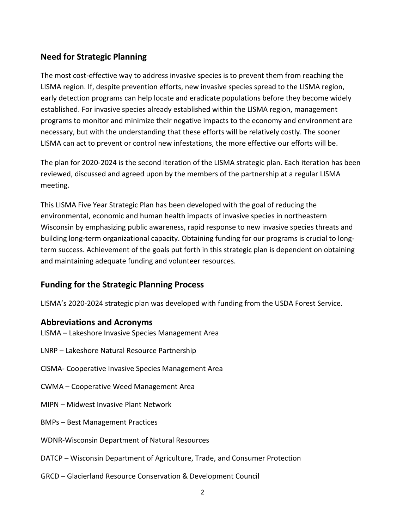## **Need for Strategic Planning**

The most cost-effective way to address invasive species is to prevent them from reaching the LISMA region. If, despite prevention efforts, new invasive species spread to the LISMA region, early detection programs can help locate and eradicate populations before they become widely established. For invasive species already established within the LISMA region, management programs to monitor and minimize their negative impacts to the economy and environment are necessary, but with the understanding that these efforts will be relatively costly. The sooner LISMA can act to prevent or control new infestations, the more effective our efforts will be.

The plan for 2020-2024 is the second iteration of the LISMA strategic plan. Each iteration has been reviewed, discussed and agreed upon by the members of the partnership at a regular LISMA meeting.

This LISMA Five Year Strategic Plan has been developed with the goal of reducing the environmental, economic and human health impacts of invasive species in northeastern Wisconsin by emphasizing public awareness, rapid response to new invasive species threats and building long-term organizational capacity. Obtaining funding for our programs is crucial to longterm success. Achievement of the goals put forth in this strategic plan is dependent on obtaining and maintaining adequate funding and volunteer resources.

## **Funding for the Strategic Planning Process**

LISMA's 2020-2024 strategic plan was developed with funding from the USDA Forest Service.

#### **Abbreviations and Acronyms**

LISMA – Lakeshore Invasive Species Management Area

- LNRP Lakeshore Natural Resource Partnership
- CISMA- Cooperative Invasive Species Management Area
- CWMA Cooperative Weed Management Area
- MIPN Midwest Invasive Plant Network
- BMPs Best Management Practices
- WDNR-Wisconsin Department of Natural Resources
- DATCP Wisconsin Department of Agriculture, Trade, and Consumer Protection
- GRCD Glacierland Resource Conservation & Development Council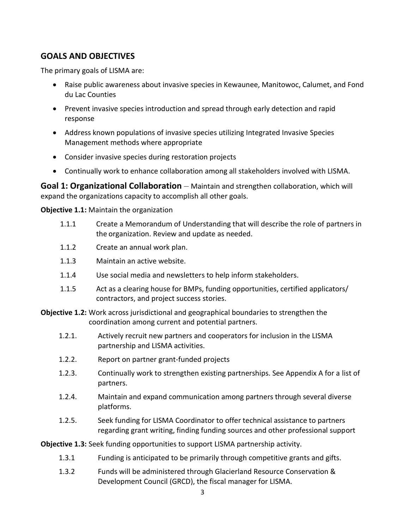# **GOALS AND OBJECTIVES**

The primary goals of LISMA are:

- Raise public awareness about invasive species in Kewaunee, Manitowoc, Calumet, and Fond du Lac Counties
- Prevent invasive species introduction and spread through early detection and rapid response
- Address known populations of invasive species utilizing Integrated Invasive Species Management methods where appropriate
- Consider invasive species during restoration projects
- Continually work to enhance collaboration among all stakeholders involved with LISMA.

**Goal 1: Organizational Collaboration** – Maintain and strengthen collaboration, which will expand the organizations capacity to accomplish all other goals.

**Objective 1.1:** Maintain the organization

- 1.1.1 Create a Memorandum of Understanding that will describe the role of partners in the organization. Review and update as needed.
- 1.1.2 Create an annual work plan.
- 1.1.3 Maintain an active website.
- 1.1.4 Use social media and newsletters to help inform stakeholders.
- 1.1.5 Act as a clearing house for BMPs, funding opportunities, certified applicators/ contractors, and project success stories.

**Objective 1.2:** Work across jurisdictional and geographical boundaries to strengthen the coordination among current and potential partners.

- 1.2.1. Actively recruit new partners and cooperators for inclusion in the LISMA partnership and LISMA activities.
- 1.2.2. Report on partner grant-funded projects
- 1.2.3. Continually work to strengthen existing partnerships. See Appendix A for a list of partners.
- 1.2.4. Maintain and expand communication among partners through several diverse platforms.
- 1.2.5. Seek funding for LISMA Coordinator to offer technical assistance to partners regarding grant writing, finding funding sources and other professional support

**Objective 1.3:** Seek funding opportunities to support LISMA partnership activity.

- 1.3.1 Funding is anticipated to be primarily through competitive grants and gifts.
- 1.3.2 Funds will be administered through Glacierland Resource Conservation & Development Council (GRCD), the fiscal manager for LISMA.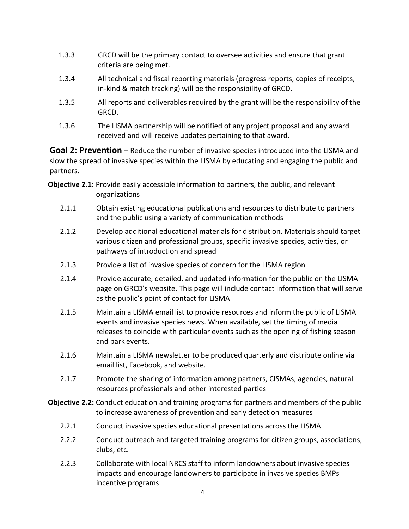- 1.3.3 GRCD will be the primary contact to oversee activities and ensure that grant criteria are being met.
- 1.3.4 All technical and fiscal reporting materials (progress reports, copies of receipts, in-kind & match tracking) will be the responsibility of GRCD.
- 1.3.5 All reports and deliverables required by the grant will be the responsibility of the GRCD.
- 1.3.6 The LISMA partnership will be notified of any project proposal and any award received and will receive updates pertaining to that award.

**Goal 2: Prevention –** Reduce the number of invasive species introduced into the LISMA and slow the spread of invasive species within the LISMA by educating and engaging the public and partners.

**Objective 2.1:** Provide easily accessible information to partners, the public, and relevant organizations

- 2.1.1 Obtain existing educational publications and resources to distribute to partners and the public using a variety of communication methods
- 2.1.2 Develop additional educational materials for distribution. Materials should target various citizen and professional groups, specific invasive species, activities, or pathways of introduction and spread
- 2.1.3 Provide a list of invasive species of concern for the LISMA region
- 2.1.4 Provide accurate, detailed, and updated information for the public on the LISMA page on GRCD's website. This page will include contact information that will serve as the public's point of contact for LISMA
- 2.1.5 Maintain a LISMA email list to provide resources and inform the public of LISMA events and invasive species news. When available, set the timing of media releases to coincide with particular events such as the opening of fishing season and park events.
- 2.1.6 Maintain a LISMA newsletter to be produced quarterly and distribute online via email list, Facebook, and website.
- 2.1.7 Promote the sharing of information among partners, CISMAs, agencies, natural resources professionals and other interested parties
- **Objective 2.2:** Conduct education and training programs for partners and members of the public to increase awareness of prevention and early detection measures
	- 2.2.1 Conduct invasive species educational presentations across the LISMA
	- 2.2.2 Conduct outreach and targeted training programs for citizen groups, associations, clubs, etc.
	- 2.2.3 Collaborate with local NRCS staff to inform landowners about invasive species impacts and encourage landowners to participate in invasive species BMPs incentive programs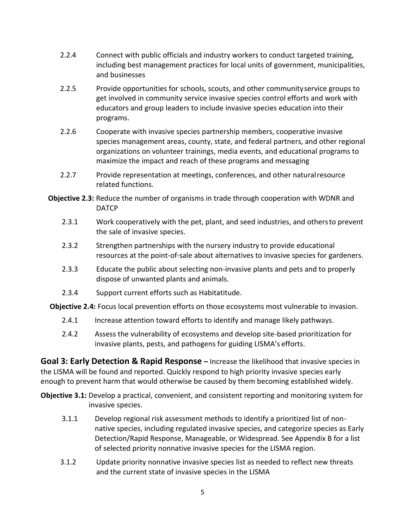- 2.2.4 Connect with public officials and industry workers to conduct targeted training, including best management practices for local units of government, municipalities, and businesses
- 2.2.5 Provide opportunities for schools, scouts, and other communityservice groups to get involved in community service invasive species control efforts and work with educators and group leaders to include invasive species education into their programs.
- 2.2.6 Cooperate with invasive species partnership members, cooperative invasive species management areas, county, state, and federal partners, and other regional organizations on volunteer trainings, media events, and educational programs to maximize the impact and reach of these programs and messaging
- 2.2.7 Provide representation at meetings, conferences, and other naturalresource related functions.
- **Objective 2.3:** Reduce the number of organisms in trade through cooperation with WDNR and DATCP
	- 2.3.1 Work cooperatively with the pet, plant, and seed industries, and othersto prevent the sale of invasive species.
	- 2.3.2 Strengthen partnerships with the nursery industry to provide educational resources at the point-of-sale about alternatives to invasive species for gardeners.
	- 2.3.3 Educate the public about selecting non-invasive plants and pets and to properly dispose of unwanted plants and animals.
	- 2.3.4 Support current efforts such as Habitatitude.

**Objective 2.4:** Focus local prevention efforts on those ecosystems most vulnerable to invasion.

- 2.4.1 Increase attention toward efforts to identify and manage likely pathways.
- 2.4.2 Assess the vulnerability of ecosystems and develop site-based prioritization for invasive plants, pests, and pathogens for guiding LISMA's efforts.

**Goal 3: Early Detection & Rapid Response –** Increase the likelihood that invasive species in the LISMA will be found and reported. Quickly respond to high priority invasive species early enough to prevent harm that would otherwise be caused by them becoming established widely.

- **Objective 3.1:** Develop a practical, convenient, and consistent reporting and monitoring system for invasive species.
	- 3.1.1 Develop regional risk assessment methods to identify a prioritized list of nonnative species, including regulated invasive species, and categorize species as Early Detection/Rapid Response, Manageable, or Widespread. See Appendix B for a list of selected priority nonnative invasive species for the LISMA region.
	- 3.1.2 Update priority nonnative invasive species list as needed to reflect new threats and the current state of invasive species in the LISMA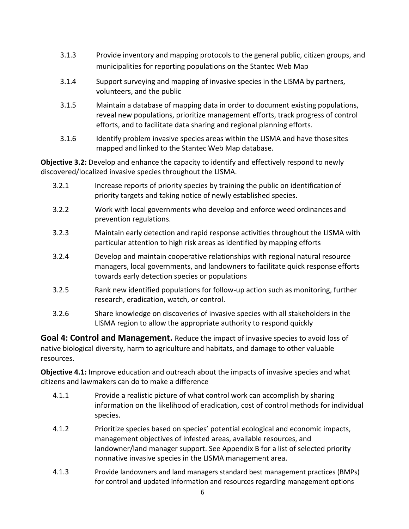- 3.1.3 Provide inventory and mapping protocols to the general public, citizen groups, and municipalities for reporting populations on the Stantec Web Map
- 3.1.4 Support surveying and mapping of invasive species in the LISMA by partners, volunteers, and the public
- 3.1.5 Maintain a database of mapping data in order to document existing populations, reveal new populations, prioritize management efforts, track progress of control efforts, and to facilitate data sharing and regional planning efforts.
- 3.1.6 Identify problem invasive species areas within the LISMA and have thosesites mapped and linked to the Stantec Web Map database.

**Objective 3.2:** Develop and enhance the capacity to identify and effectively respond to newly discovered/localized invasive species throughout the LISMA.

- 3.2.1 Increase reports of priority species by training the public on identificationof priority targets and taking notice of newly established species.
- 3.2.2 Work with local governments who develop and enforce weed ordinances and prevention regulations.
- 3.2.3 Maintain early detection and rapid response activities throughout the LISMA with particular attention to high risk areas as identified by mapping efforts
- 3.2.4 Develop and maintain cooperative relationships with regional natural resource managers, local governments, and landowners to facilitate quick response efforts towards early detection species or populations
- 3.2.5 Rank new identified populations for follow-up action such as monitoring, further research, eradication, watch, or control.
- 3.2.6 Share knowledge on discoveries of invasive species with all stakeholders in the LISMA region to allow the appropriate authority to respond quickly

**Goal 4: Control and Management.** Reduce the impact of invasive species to avoid loss of native biological diversity, harm to agriculture and habitats, and damage to other valuable resources.

**Objective 4.1:** Improve education and outreach about the impacts of invasive species and what citizens and lawmakers can do to make a difference

- 4.1.1 Provide a realistic picture of what control work can accomplish by sharing information on the likelihood of eradication, cost of control methods for individual species.
- 4.1.2 Prioritize species based on species' potential ecological and economic impacts, management objectives of infested areas, available resources, and landowner/land manager support. See Appendix B for a list of selected priority nonnative invasive species in the LISMA management area.
- 4.1.3 Provide landowners and land managers standard best management practices (BMPs) for control and updated information and resources regarding management options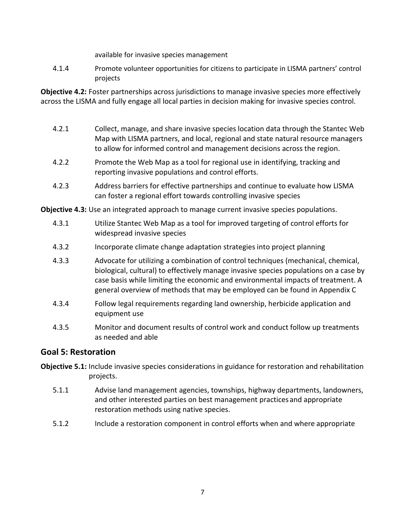available for invasive species management

4.1.4 Promote volunteer opportunities for citizens to participate in LISMA partners' control projects

**Objective 4.2:** Foster partnerships across jurisdictions to manage invasive species more effectively across the LISMA and fully engage all local parties in decision making for invasive species control.

- 4.2.1 Collect, manage, and share invasive species location data through the Stantec Web Map with LISMA partners, and local, regional and state natural resource managers to allow for informed control and management decisions across the region.
- 4.2.2 Promote the Web Map as a tool for regional use in identifying, tracking and reporting invasive populations and control efforts.
- 4.2.3 Address barriers for effective partnerships and continue to evaluate how LISMA can foster a regional effort towards controlling invasive species

**Objective 4.3:** Use an integrated approach to manage current invasive species populations.

- 4.3.1 Utilize Stantec Web Map as a tool for improved targeting of control efforts for widespread invasive species
- 4.3.2 Incorporate climate change adaptation strategies into project planning
- 4.3.3 Advocate for utilizing a combination of control techniques (mechanical, chemical, biological, cultural) to effectively manage invasive species populations on a case by case basis while limiting the economic and environmental impacts of treatment. A general overview of methods that may be employed can be found in Appendix C
- 4.3.4 Follow legal requirements regarding land ownership, herbicide application and equipment use
- 4.3.5 Monitor and document results of control work and conduct follow up treatments as needed and able

## **Goal 5: Restoration**

- **Objective 5.1:** Include invasive species considerations in guidance for restoration and rehabilitation projects.
	- 5.1.1 Advise land management agencies, townships, highway departments, landowners, and other interested parties on best management practices and appropriate restoration methods using native species.
	- 5.1.2 Include a restoration component in control efforts when and where appropriate